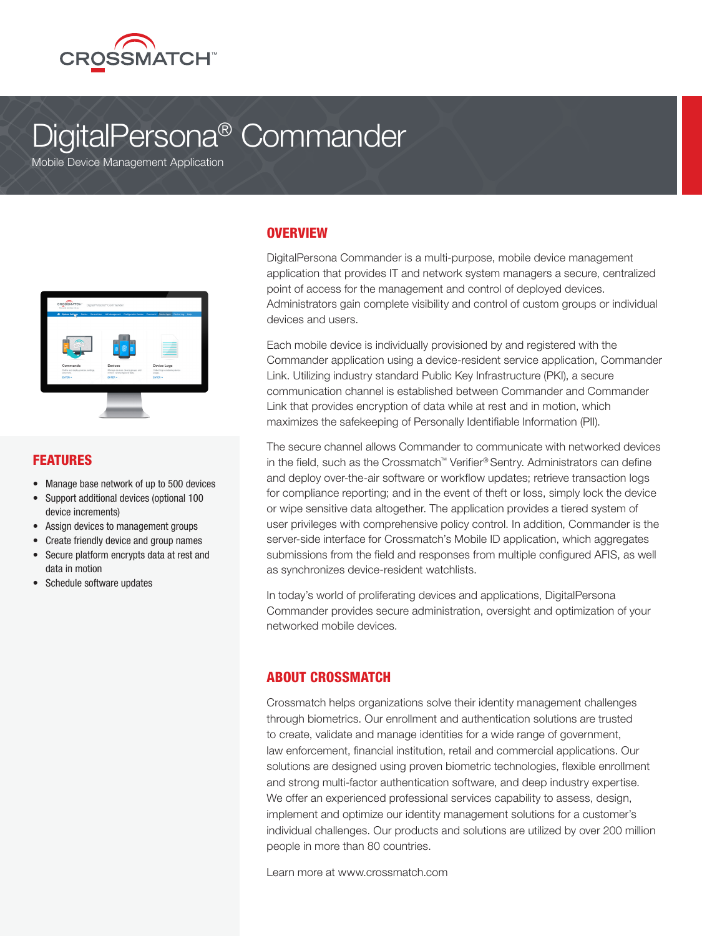

# DigitalPersona® Commander

**Mobile Device Management Application** 



#### FEATURES

- Manage base network of up to 500 devices
- Support additional devices (optional 100 device increments)
- Assign devices to management groups
- Create friendly device and group names
- Secure platform encrypts data at rest and data in motion
- Schedule software updates

#### **OVERVIEW**

DigitalPersona Commander is a multi-purpose, mobile device management application that provides IT and network system managers a secure, centralized point of access for the management and control of deployed devices. Administrators gain complete visibility and control of custom groups or individual devices and users.

Each mobile device is individually provisioned by and registered with the Commander application using a device-resident service application, Commander Link. Utilizing industry standard Public Key Infrastructure (PKI), a secure communication channel is established between Commander and Commander Link that provides encryption of data while at rest and in motion, which maximizes the safekeeping of Personally Identifiable Information (PII).

The secure channel allows Commander to communicate with networked devices in the field, such as the Crossmatch™ Verifier® Sentry. Administrators can define and deploy over-the-air software or workflow updates; retrieve transaction logs for compliance reporting; and in the event of theft or loss, simply lock the device or wipe sensitive data altogether. The application provides a tiered system of user privileges with comprehensive policy control. In addition, Commander is the server-side interface for Crossmatch's Mobile ID application, which aggregates submissions from the field and responses from multiple configured AFIS, as well as synchronizes device-resident watchlists.

In today's world of proliferating devices and applications, DigitalPersona Commander provides secure administration, oversight and optimization of your networked mobile devices.

#### ABOUT CROSSMATCH

Crossmatch helps organizations solve their identity management challenges through biometrics. Our enrollment and authentication solutions are trusted to create, validate and manage identities for a wide range of government, law enforcement, financial institution, retail and commercial applications. Our solutions are designed using proven biometric technologies, flexible enrollment and strong multi-factor authentication software, and deep industry expertise. We offer an experienced professional services capability to assess, design, implement and optimize our identity management solutions for a customer's individual challenges. Our products and solutions are utilized by over 200 million people in more than 80 countries.

Learn more at www.crossmatch.com